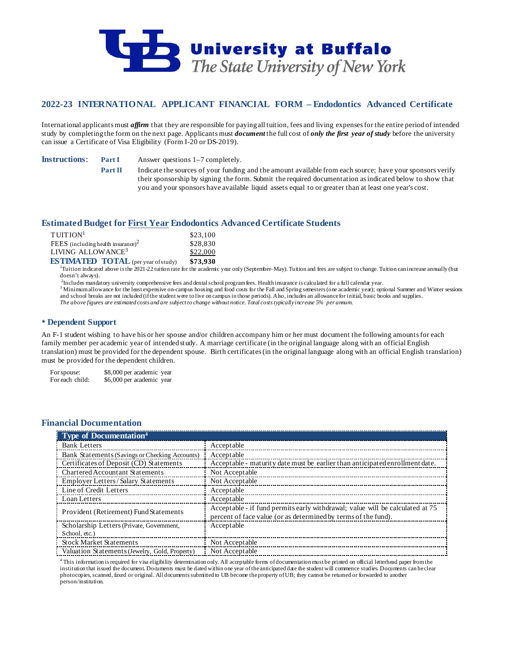

# **2022-23 INTERNATIONAL APPLICANT FINANCIAL FORM – Endodontics Advanced Certificate**

International applicants must *affirm* that they are responsible for paying all tuition, fees and living expenses for the entire period of intended study by completing the form on the next page. Applicants must *document* the full cost of *only the first year of study* before the university can issue a Certificate of Visa Eligibility (Form I-20 or DS-2019).

**Instructions: Part I** Answer questions 1–7 completely.

**Part II** Indicate the sources of your funding and the amount available from each source; have your sponsors verify their sponsorship by signing the form. Submit the required documentation as indicated below to show that you and your sponsors have available liquid assets equal to or greater than at least one year's cost.

## **Estimated Budget for First Year Endodontics Advanced Certificate Students**

| TUITION <sup>1</sup>                                                                                                                                            | \$23,100 |
|-----------------------------------------------------------------------------------------------------------------------------------------------------------------|----------|
| FEES (including health insurance) <sup>2</sup>                                                                                                                  | \$28,830 |
| LIVING ALLOWANCE <sup>3</sup>                                                                                                                                   | \$22,000 |
| $\overline{\textbf{RSTIMAL}}$ $\overline{\textbf{RST}}$ $\overline{\textbf{RST}}$ $\overline{\textbf{RST}}$ $\overline{\textbf{RST}}$ $\overline{\textbf{RST}}$ | \$73.930 |

**ESTIMATED TOTAL** (per year of study) \$73,930<br><sup>1</sup>Tuition indicated above is the 2021-22 tuition rate for the academic year only (September–May). Tuition and fees are subject to change. Tuition can increase annually (but doesn't always).

<sup>2</sup>Includes mandatory university comprehensive fees and dental school program fees. Health insurance is calculated for a full calendar year.

<sup>3</sup> Minimum allowance for the least expensive on-campus housing and food costs for the Fall and Spring semesters (one academic year); optional Summer and Winter sessions and school breaks are not included (if the student were to live on campus in those periods). Also, includes an allowance for initial, basic books and supplies. *The above figures are estimated costs and are subject to change without notice. Total costs typically increase 5% per annum.*

## **Dependent Support**

An F-1 student wishing to have his or her spouse and/or children accompany him or her must document the following amounts for each family member per academic year of intended study. A marriage certificate (in the original language along with an official English translation) must be provided for the dependent spouse. Birth certificates (in the original language along with an official English translation) must be provided for the dependent children.

For spouse: \$8,000 per academic year<br>For each child: \$6,000 per academic year \$6,000 per academic year

# **Financial Documentation**

| <b>Type of Documentation</b> <sup>4</sup>      |                                                                                                                                                 |
|------------------------------------------------|-------------------------------------------------------------------------------------------------------------------------------------------------|
| <b>Bank Letters</b>                            | Acceptable                                                                                                                                      |
| Bank Statements (Savings or Checking Accounts) | Acceptable                                                                                                                                      |
| Certificates of Deposit (CD) Statements        | Acceptable - maturity date must be earlier than anticipated enrollment date.                                                                    |
| <b>Chartered Accountant Statements</b>         | Not Acceptable                                                                                                                                  |
| Employer Letters/Salary Statements             | Not Acceptable                                                                                                                                  |
| Line of Credit Letters                         | Acceptable                                                                                                                                      |
| Loan Letters                                   | Acceptable                                                                                                                                      |
| Provident (Retirement) Fund Statements         | Acceptable - if fund permits early withdrawal; value will be calculated at 75<br>percent of face value (or as determined by terms of the fund). |
| Scholarship Letters (Private, Government,      | Acceptable                                                                                                                                      |
| School, etc.)                                  |                                                                                                                                                 |
| <b>Stock Market Statements</b>                 | Not Acceptable                                                                                                                                  |
| Valuation Statements (Jewelry, Gold, Property) | Not Acceptable                                                                                                                                  |

<sup>4</sup> This information is required for visa eligibility determination only. All acceptable forms of documentation must be printed on official letterhead paper from the institution that issued the document. Documents must be dated within one year of the anticipated date the student will commence studies. Documents can be clear photocopies, scanned, faxed or original. All documents submitted to UB become the property of UB; they cannot be returned or forwarded to another person/institution.